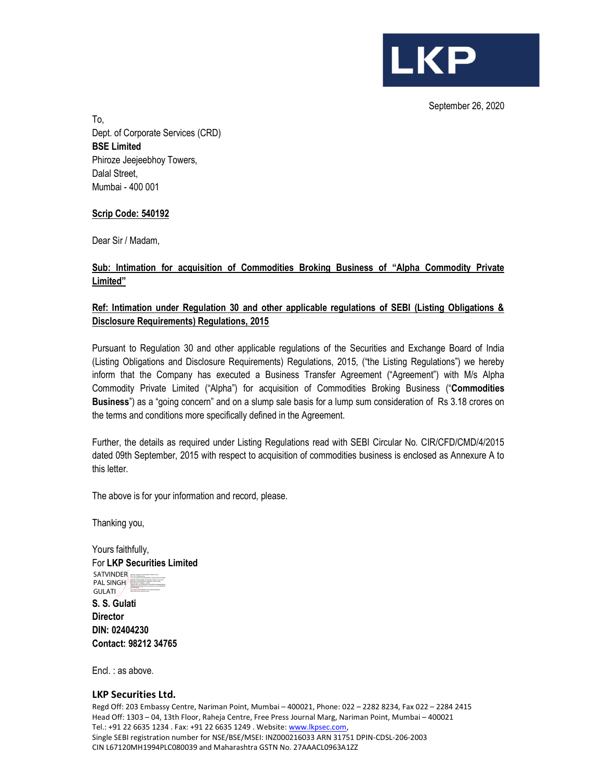September 26, 2020

**LKP** 

To, Dept. of Corporate Services (CRD) BSE Limited Phiroze Jeejeebhoy Towers, Dalal Street, Mumbai - 400 001

# Scrip Code: 540192

Dear Sir / Madam,

# Sub: Intimation for acquisition of Commodities Broking Business of "Alpha Commodity Private Limited"

# Ref: Intimation under Regulation 30 and other applicable regulations of SEBI (Listing Obligations & Disclosure Requirements) Regulations, 2015

Pursuant to Regulation 30 and other applicable regulations of the Securities and Exchange Board of India (Listing Obligations and Disclosure Requirements) Regulations, 2015, ("the Listing Regulations") we hereby inform that the Company has executed a Business Transfer Agreement ("Agreement") with M/s Alpha Commodity Private Limited ("Alpha") for acquisition of Commodities Broking Business ("Commodities Business") as a "going concern" and on a slump sale basis for a lump sum consideration of Rs 3.18 crores on the terms and conditions more specifically defined in the Agreement.

Further, the details as required under Listing Regulations read with SEBI Circular No. CIR/CFD/CMD/4/2015 dated 09th September, 2015 with respect to acquisition of commodities business is enclosed as Annexure A to this letter.

The above is for your information and record, please.

Thanking you,

Yours faithfully, For LKP Securities Limited SATVINDER SATVINDER PAL SINGHALLER **GULATI** caDaba281eeb81a096a27aa0, o=Personal, cn=SATVINDERPAL<br>SNOW=DULATI,<br>pseudonym=97021f718a591c8152a0b3053dd1b8c1<br>Date: 2020.09.26 14:39:00 +05'30'

S. S. Gulati **Director** DIN: 02404230 Contact: 98212 34765

Encl. : as above.

#### LKP Securities Ltd.

Regd Off: 203 Embassy Centre, Nariman Point, Mumbai – 400021, Phone: 022 – 2282 8234, Fax 022 – 2284 2415 Head Off: 1303 – 04, 13th Floor, Raheja Centre, Free Press Journal Marg, Nariman Point, Mumbai – 400021 Tel.: +91 22 6635 1234 . Fax: +91 22 6635 1249 . Website: www.lkpsec.com, Single SEBI registration number for NSE/BSE/MSEI: INZ000216033 ARN 31751 DPIN-CDSL-206-2003 CIN L67120MH1994PLC080039 and Maharashtra GSTN No. 27AAACL0963A1ZZ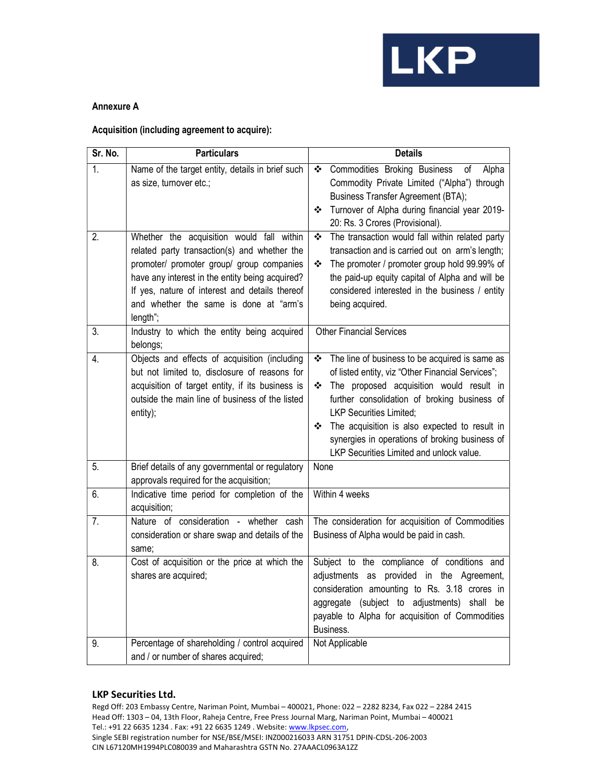

### Annexure A

### Acquisition (including agreement to acquire):

| Sr. No. | <b>Particulars</b>                                                                                                                                                                                                                                                                                | <b>Details</b>                                                                                                                                                                                                                                                                                                                                                                                  |
|---------|---------------------------------------------------------------------------------------------------------------------------------------------------------------------------------------------------------------------------------------------------------------------------------------------------|-------------------------------------------------------------------------------------------------------------------------------------------------------------------------------------------------------------------------------------------------------------------------------------------------------------------------------------------------------------------------------------------------|
| 1.      | Name of the target entity, details in brief such<br>as size, turnover etc.;                                                                                                                                                                                                                       | Commodities Broking Business<br>Alpha<br>❖<br>οf<br>Commodity Private Limited ("Alpha") through<br><b>Business Transfer Agreement (BTA);</b><br>Turnover of Alpha during financial year 2019-<br>❖<br>20: Rs. 3 Crores (Provisional).                                                                                                                                                           |
| 2.      | Whether the acquisition would fall within<br>related party transaction(s) and whether the<br>promoter/ promoter group/ group companies<br>have any interest in the entity being acquired?<br>If yes, nature of interest and details thereof<br>and whether the same is done at "arm's<br>length"; | The transaction would fall within related party<br>❖<br>transaction and is carried out on arm's length;<br>The promoter / promoter group hold 99.99% of<br>❖<br>the paid-up equity capital of Alpha and will be<br>considered interested in the business / entity<br>being acquired.                                                                                                            |
| 3.      | Industry to which the entity being acquired<br>belongs;                                                                                                                                                                                                                                           | <b>Other Financial Services</b>                                                                                                                                                                                                                                                                                                                                                                 |
| 4.      | Objects and effects of acquisition (including<br>but not limited to, disclosure of reasons for<br>acquisition of target entity, if its business is<br>outside the main line of business of the listed<br>entity);                                                                                 | The line of business to be acquired is same as<br>❖<br>of listed entity, viz "Other Financial Services";<br>The proposed acquisition would result in<br>❖<br>further consolidation of broking business of<br><b>LKP Securities Limited;</b><br>The acquisition is also expected to result in<br>❖<br>synergies in operations of broking business of<br>LKP Securities Limited and unlock value. |
| 5.      | Brief details of any governmental or regulatory<br>approvals required for the acquisition;                                                                                                                                                                                                        | None                                                                                                                                                                                                                                                                                                                                                                                            |
| 6.      | Indicative time period for completion of the<br>acquisition;                                                                                                                                                                                                                                      | Within 4 weeks                                                                                                                                                                                                                                                                                                                                                                                  |
| 7.      | Nature of consideration - whether cash<br>consideration or share swap and details of the<br>same;                                                                                                                                                                                                 | The consideration for acquisition of Commodities<br>Business of Alpha would be paid in cash.                                                                                                                                                                                                                                                                                                    |
| 8.      | Cost of acquisition or the price at which the<br>shares are acquired;                                                                                                                                                                                                                             | Subject to the compliance of conditions and<br>adjustments as provided in the Agreement,<br>consideration amounting to Rs. 3.18 crores in<br>aggregate (subject to adjustments)<br>shall<br>be<br>payable to Alpha for acquisition of Commodities<br>Business.                                                                                                                                  |
| 9.      | Percentage of shareholding / control acquired<br>and / or number of shares acquired;                                                                                                                                                                                                              | Not Applicable                                                                                                                                                                                                                                                                                                                                                                                  |

## LKP Securities Ltd.

Regd Off: 203 Embassy Centre, Nariman Point, Mumbai – 400021, Phone: 022 – 2282 8234, Fax 022 – 2284 2415 Head Off: 1303 – 04, 13th Floor, Raheja Centre, Free Press Journal Marg, Nariman Point, Mumbai – 400021 Tel.: +91 22 6635 1234 . Fax: +91 22 6635 1249 . Website: www.lkpsec.com, Single SEBI registration number for NSE/BSE/MSEI: INZ000216033 ARN 31751 DPIN-CDSL-206-2003 CIN L67120MH1994PLC080039 and Maharashtra GSTN No. 27AAACL0963A1ZZ